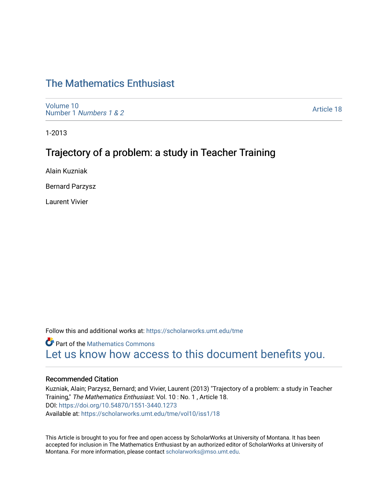# [The Mathematics Enthusiast](https://scholarworks.umt.edu/tme)

[Volume 10](https://scholarworks.umt.edu/tme/vol10) Number 1 [Numbers 1 & 2](https://scholarworks.umt.edu/tme/vol10/iss1)

[Article 18](https://scholarworks.umt.edu/tme/vol10/iss1/18) 

1-2013

## Trajectory of a problem: a study in Teacher Training

Alain Kuzniak

Bernard Parzysz

Laurent Vivier

Follow this and additional works at: [https://scholarworks.umt.edu/tme](https://scholarworks.umt.edu/tme?utm_source=scholarworks.umt.edu%2Ftme%2Fvol10%2Fiss1%2F18&utm_medium=PDF&utm_campaign=PDFCoverPages) 

**Part of the [Mathematics Commons](http://network.bepress.com/hgg/discipline/174?utm_source=scholarworks.umt.edu%2Ftme%2Fvol10%2Fiss1%2F18&utm_medium=PDF&utm_campaign=PDFCoverPages)** [Let us know how access to this document benefits you.](https://goo.gl/forms/s2rGfXOLzz71qgsB2) 

#### Recommended Citation

Kuzniak, Alain; Parzysz, Bernard; and Vivier, Laurent (2013) "Trajectory of a problem: a study in Teacher Training," The Mathematics Enthusiast: Vol. 10 : No. 1 , Article 18. DOI:<https://doi.org/10.54870/1551-3440.1273> Available at: [https://scholarworks.umt.edu/tme/vol10/iss1/18](https://scholarworks.umt.edu/tme/vol10/iss1/18?utm_source=scholarworks.umt.edu%2Ftme%2Fvol10%2Fiss1%2F18&utm_medium=PDF&utm_campaign=PDFCoverPages)

This Article is brought to you for free and open access by ScholarWorks at University of Montana. It has been accepted for inclusion in The Mathematics Enthusiast by an authorized editor of ScholarWorks at University of Montana. For more information, please contact [scholarworks@mso.umt.edu.](mailto:scholarworks@mso.umt.edu)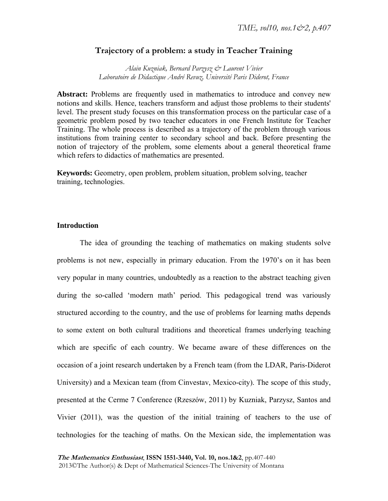## **Trajectory of a problem: a study in Teacher Training**

*Alain Kuzniak, Bernard Parzysz & Laurent Vivier Laboratoire de Didactique André Revuz, Université Paris Diderot, France* 

**Abstract:** Problems are frequently used in mathematics to introduce and convey new notions and skills. Hence, teachers transform and adjust those problems to their students' level. The present study focuses on this transformation process on the particular case of a geometric problem posed by two teacher educators in one French Institute for Teacher Training. The whole process is described as a trajectory of the problem through various institutions from training center to secondary school and back. Before presenting the notion of trajectory of the problem, some elements about a general theoretical frame which refers to didactics of mathematics are presented.

**Keywords:** Geometry, open problem, problem situation, problem solving, teacher training, technologies.

## **Introduction**

The idea of grounding the teaching of mathematics on making students solve problems is not new, especially in primary education. From the 1970's on it has been very popular in many countries, undoubtedly as a reaction to the abstract teaching given during the so-called 'modern math' period. This pedagogical trend was variously structured according to the country, and the use of problems for learning maths depends to some extent on both cultural traditions and theoretical frames underlying teaching which are specific of each country. We became aware of these differences on the occasion of a joint research undertaken by a French team (from the LDAR, Paris-Diderot University) and a Mexican team (from Cinvestav, Mexico-city). The scope of this study, presented at the Cerme 7 Conference (Rzeszów, 2011) by Kuzniak, Parzysz, Santos and Vivier (2011), was the question of the initial training of teachers to the use of technologies for the teaching of maths. On the Mexican side, the implementation was

**The Mathematics Enthusiast**, **ISSN 1551-3440, Vol. 10, nos.1&2**, pp.407-440 2013©The Author(s) & Dept of Mathematical Sciences-The University of Montana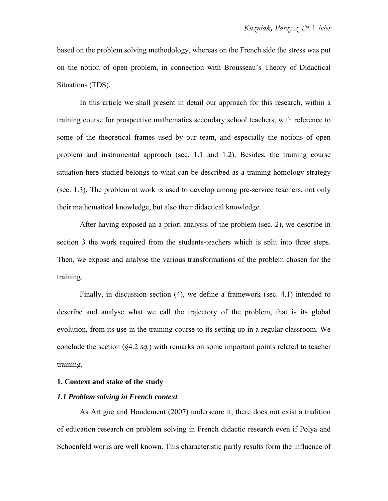based on the problem solving methodology, whereas on the French side the stress was put on the notion of open problem, in connection with Brousseau's Theory of Didactical Situations (TDS).

In this article we shall present in detail our approach for this research, within a training course for prospective mathematics secondary school teachers, with reference to some of the theoretical frames used by our team, and especially the notions of open problem and instrumental approach (sec. 1.1 and 1.2). Besides, the training course situation here studied belongs to what can be described as a training homology strategy (sec. 1.3). The problem at work is used to develop among pre-service teachers, not only their mathematical knowledge, but also their didactical knowledge.

After having exposed an a priori analysis of the problem (sec. 2), we describe in section 3 the work required from the students-teachers which is split into three steps. Then, we expose and analyse the various transformations of the problem chosen for the training.

Finally, in discussion section (4), we define a framework (sec. 4.1) intended to describe and analyse what we call the trajectory of the problem, that is its global evolution, from its use in the training course to its setting up in a regular classroom. We conclude the section (§4.2 *sq.*) with remarks on some important points related to teacher training.

## **1. Context and stake of the study**

## *1.1 Problem solving in French context*

As Artigue and Houdement (2007) underscore it, there does not exist a tradition of education research on problem solving in French didactic research even if Polya and Schoenfeld works are well known. This characteristic partly results form the influence of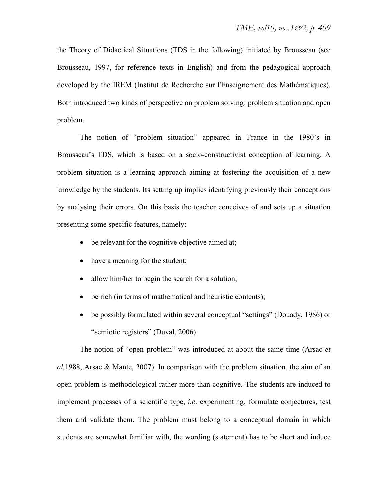the Theory of Didactical Situations (TDS in the following) initiated by Brousseau (see Brousseau, 1997, for reference texts in English) and from the pedagogical approach developed by the IREM (Institut de Recherche sur l'Enseignement des Mathématiques). Both introduced two kinds of perspective on problem solving: problem situation and open problem.

The notion of "problem situation" appeared in France in the 1980's in Brousseau's TDS, which is based on a socio-constructivist conception of learning. A problem situation is a learning approach aiming at fostering the acquisition of a new knowledge by the students. Its setting up implies identifying previously their conceptions by analysing their errors. On this basis the teacher conceives of and sets up a situation presenting some specific features, namely:

- be relevant for the cognitive objective aimed at;
- have a meaning for the student;
- allow him/her to begin the search for a solution;
- be rich (in terms of mathematical and heuristic contents);
- be possibly formulated within several conceptual "settings" (Douady, 1986) or "semiotic registers" (Duval, 2006).

The notion of "open problem" was introduced at about the same time (Arsac *et al.*1988, Arsac & Mante, 2007). In comparison with the problem situation, the aim of an open problem is methodological rather more than cognitive. The students are induced to implement processes of a scientific type, *i.e*. experimenting, formulate conjectures, test them and validate them. The problem must belong to a conceptual domain in which students are somewhat familiar with, the wording (statement) has to be short and induce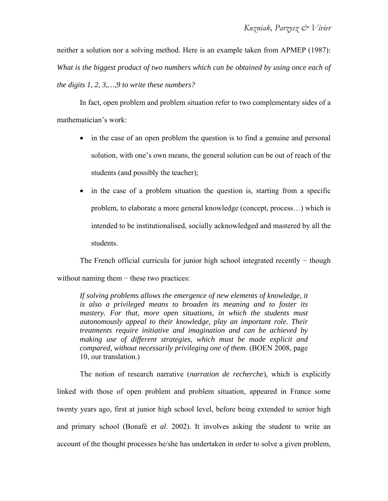neither a solution nor a solving method. Here is an example taken from APMEP (1987): *What is the biggest product of two numbers which can be obtained by using once each of the digits 1, 2, 3,…,9 to write these numbers?* 

In fact, open problem and problem situation refer to two complementary sides of a mathematician's work:

- in the case of an open problem the question is to find a genuine and personal solution, with one's own means, the general solution can be out of reach of the students (and possibly the teacher);
- in the case of a problem situation the question is, starting from a specific problem, to elaborate a more general knowledge (concept, process…) which is intended to be institutionalised, socially acknowledged and mastered by all the students.

The French official curricula for junior high school integrated recently – though without naming them – these two practices:

*If solving problems allows the emergence of new elements of knowledge, it is also a privileged means to broaden its meaning and to foster its mastery. For that, more open situations, in which the students must autonomously appeal to their knowledge, play an important role. Their treatments require initiative and imagination and can be achieved by making use of different strategies, which must be made explicit and compared, without necessarily privileging one of them*. (BOEN 2008, page 10, our translation.)

The notion of research narrative (*narration de recherche*), which is explicitly linked with those of open problem and problem situation, appeared in France some twenty years ago, first at junior high school level, before being extended to senior high and primary school (Bonafé et *al*. 2002). It involves asking the student to write an account of the thought processes he/she has undertaken in order to solve a given problem,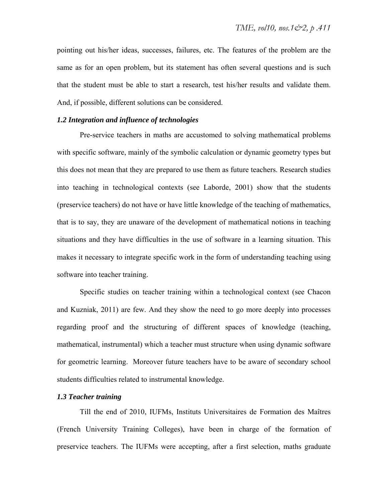pointing out his/her ideas, successes, failures, etc. The features of the problem are the same as for an open problem, but its statement has often several questions and is such that the student must be able to start a research, test his/her results and validate them. And, if possible, different solutions can be considered.

### *1.2 Integration and influence of technologies*

Pre-service teachers in maths are accustomed to solving mathematical problems with specific software, mainly of the symbolic calculation or dynamic geometry types but this does not mean that they are prepared to use them as future teachers. Research studies into teaching in technological contexts (see Laborde, 2001) show that the students (preservice teachers) do not have or have little knowledge of the teaching of mathematics, that is to say, they are unaware of the development of mathematical notions in teaching situations and they have difficulties in the use of software in a learning situation. This makes it necessary to integrate specific work in the form of understanding teaching using software into teacher training.

Specific studies on teacher training within a technological context (see Chacon and Kuzniak, 2011) are few. And they show the need to go more deeply into processes regarding proof and the structuring of different spaces of knowledge (teaching, mathematical, instrumental) which a teacher must structure when using dynamic software for geometric learning. Moreover future teachers have to be aware of secondary school students difficulties related to instrumental knowledge.

#### *1.3 Teacher training*

Till the end of 2010, IUFMs, Instituts Universitaires de Formation des Maîtres (French University Training Colleges), have been in charge of the formation of preservice teachers. The IUFMs were accepting, after a first selection, maths graduate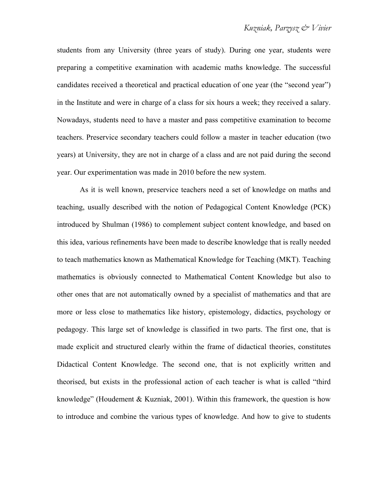students from any University (three years of study). During one year, students were preparing a competitive examination with academic maths knowledge. The successful candidates received a theoretical and practical education of one year (the "second year") in the Institute and were in charge of a class for six hours a week; they received a salary. Nowadays, students need to have a master and pass competitive examination to become teachers. Preservice secondary teachers could follow a master in teacher education (two years) at University, they are not in charge of a class and are not paid during the second year. Our experimentation was made in 2010 before the new system.

As it is well known, preservice teachers need a set of knowledge on maths and teaching, usually described with the notion of Pedagogical Content Knowledge (PCK) introduced by Shulman (1986) to complement subject content knowledge, and based on this idea, various refinements have been made to describe knowledge that is really needed to teach mathematics known as Mathematical Knowledge for Teaching (MKT). Teaching mathematics is obviously connected to Mathematical Content Knowledge but also to other ones that are not automatically owned by a specialist of mathematics and that are more or less close to mathematics like history, epistemology, didactics, psychology or pedagogy. This large set of knowledge is classified in two parts. The first one, that is made explicit and structured clearly within the frame of didactical theories, constitutes Didactical Content Knowledge. The second one, that is not explicitly written and theorised, but exists in the professional action of each teacher is what is called "third knowledge" (Houdement & Kuzniak, 2001). Within this framework, the question is how to introduce and combine the various types of knowledge. And how to give to students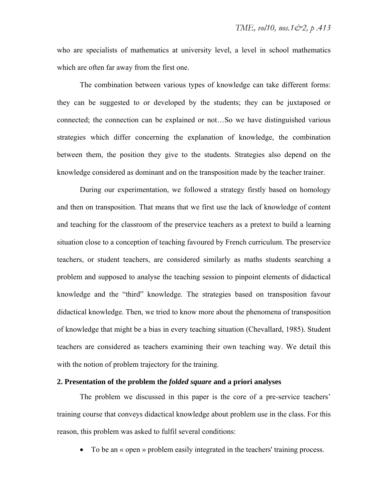who are specialists of mathematics at university level, a level in school mathematics which are often far away from the first one.

The combination between various types of knowledge can take different forms: they can be suggested to or developed by the students; they can be juxtaposed or connected; the connection can be explained or not…So we have distinguished various strategies which differ concerning the explanation of knowledge, the combination between them, the position they give to the students. Strategies also depend on the knowledge considered as dominant and on the transposition made by the teacher trainer.

During our experimentation, we followed a strategy firstly based on homology and then on transposition. That means that we first use the lack of knowledge of content and teaching for the classroom of the preservice teachers as a pretext to build a learning situation close to a conception of teaching favoured by French curriculum. The preservice teachers, or student teachers, are considered similarly as maths students searching a problem and supposed to analyse the teaching session to pinpoint elements of didactical knowledge and the "third" knowledge. The strategies based on transposition favour didactical knowledge. Then, we tried to know more about the phenomena of transposition of knowledge that might be a bias in every teaching situation (Chevallard, 1985). Student teachers are considered as teachers examining their own teaching way. We detail this with the notion of problem trajectory for the training.

## **2. Presentation of the problem the** *folded square* **and a priori analyses**

The problem we discussed in this paper is the core of a pre-service teachers' training course that conveys didactical knowledge about problem use in the class. For this reason, this problem was asked to fulfil several conditions:

• To be an « open » problem easily integrated in the teachers' training process.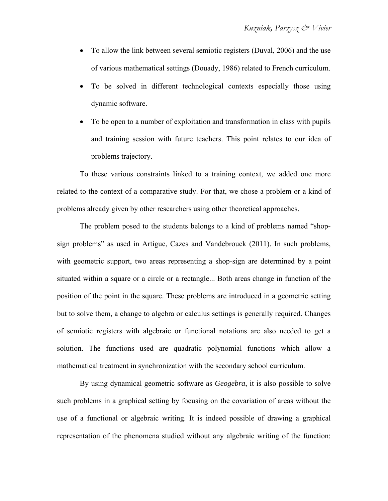- To allow the link between several semiotic registers (Duval, 2006) and the use of various mathematical settings (Douady, 1986) related to French curriculum.
- To be solved in different technological contexts especially those using dynamic software.
- To be open to a number of exploitation and transformation in class with pupils and training session with future teachers. This point relates to our idea of problems trajectory.

To these various constraints linked to a training context, we added one more related to the context of a comparative study. For that, we chose a problem or a kind of problems already given by other researchers using other theoretical approaches.

The problem posed to the students belongs to a kind of problems named "shopsign problems" as used in Artigue, Cazes and Vandebrouck (2011). In such problems, with geometric support, two areas representing a shop-sign are determined by a point situated within a square or a circle or a rectangle... Both areas change in function of the position of the point in the square. These problems are introduced in a geometric setting but to solve them, a change to algebra or calculus settings is generally required. Changes of semiotic registers with algebraic or functional notations are also needed to get a solution. The functions used are quadratic polynomial functions which allow a mathematical treatment in synchronization with the secondary school curriculum.

By using dynamical geometric software as *Geogebra*, it is also possible to solve such problems in a graphical setting by focusing on the covariation of areas without the use of a functional or algebraic writing. It is indeed possible of drawing a graphical representation of the phenomena studied without any algebraic writing of the function: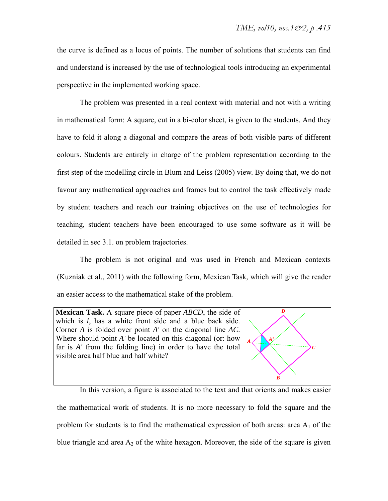the curve is defined as a locus of points. The number of solutions that students can find and understand is increased by the use of technological tools introducing an experimental perspective in the implemented working space.

The problem was presented in a real context with material and not with a writing in mathematical form: A square, cut in a bi-color sheet, is given to the students. And they have to fold it along a diagonal and compare the areas of both visible parts of different colours. Students are entirely in charge of the problem representation according to the first step of the modelling circle in Blum and Leiss (2005) view. By doing that, we do not favour any mathematical approaches and frames but to control the task effectively made by student teachers and reach our training objectives on the use of technologies for teaching, student teachers have been encouraged to use some software as it will be detailed in sec 3.1. on problem trajectories.

The problem is not original and was used in French and Mexican contexts (Kuzniak et al., 2011) with the following form, Mexican Task, which will give the reader an easier access to the mathematical stake of the problem.

**Mexican Task.** A square piece of paper *ABCD*, the side of which is *l*, has a white front side and a blue back side. Corner *A* is folded over point *A'* on the diagonal line *AC*. Where should point *A'* be located on this diagonal (or: how far is *A'* from the folding line) in order to have the total visible area half blue and half white?



In this version, a figure is associated to the text and that orients and makes easier the mathematical work of students. It is no more necessary to fold the square and the problem for students is to find the mathematical expression of both areas: area  $A_1$  of the blue triangle and area  $A_2$  of the white hexagon. Moreover, the side of the square is given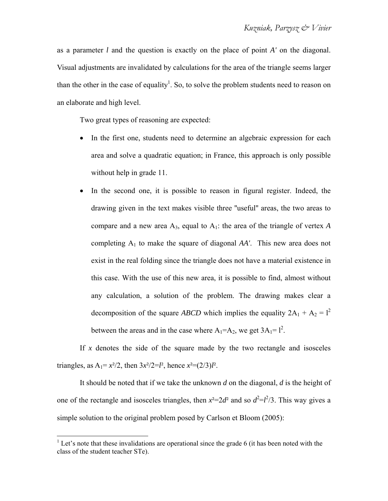as a parameter *l* and the question is exactly on the place of point *A'* on the diagonal. Visual adjustments are invalidated by calculations for the area of the triangle seems larger than the other in the case of equality<sup>1</sup>. So, to solve the problem students need to reason on an elaborate and high level.

Two great types of reasoning are expected:

- In the first one, students need to determine an algebraic expression for each area and solve a quadratic equation; in France, this approach is only possible without help in grade 11.
- In the second one, it is possible to reason in figural register. Indeed, the drawing given in the text makes visible three ''useful'' areas, the two areas to compare and a new area  $A_3$ , equal to  $A_1$ : the area of the triangle of vertex A completing  $A_1$  to make the square of diagonal  $AA'$ . This new area does not exist in the real folding since the triangle does not have a material existence in this case. With the use of this new area, it is possible to find, almost without any calculation, a solution of the problem. The drawing makes clear a decomposition of the square *ABCD* which implies the equality  $2A_1 + A_2 = l^2$ between the areas and in the case where  $A_1 = A_2$ , we get  $3A_1 = 1^2$ .

If  $x$  denotes the side of the square made by the two rectangle and isosceles triangles, as  $A_1 = x^2/2$ , then  $3x^2/2 = l^2$ , hence  $x^2 = (2/3)l^2$ .

It should be noted that if we take the unknown *d* on the diagonal, *d* is the height of one of the rectangle and isosceles triangles, then  $x^2 = 2d^2$  and so  $d^2 = l^2/3$ . This way gives a simple solution to the original problem posed by Carlson et Bloom (2005):

<sup>&</sup>lt;sup>1</sup> Let's note that these invalidations are operational since the grade 6 (it has been noted with the class of the student teacher STe).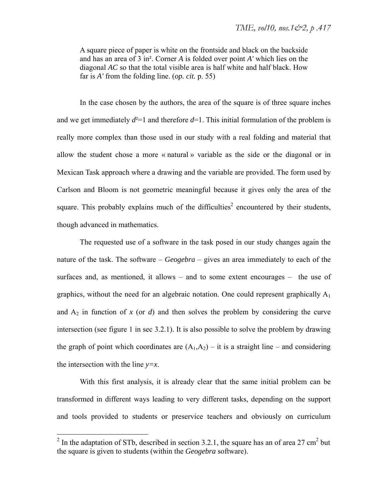A square piece of paper is white on the frontside and black on the backside and has an area of 3 in². Corner *A* is folded over point *A'* which lies on the diagonal *AC* so that the total visible area is half white and half black. How far is *A'* from the folding line. (*op. cit.* p. 55)

In the case chosen by the authors, the area of the square is of three square inches and we get immediately  $d^2=1$  and therefore  $d=1$ . This initial formulation of the problem is really more complex than those used in our study with a real folding and material that allow the student chose a more « natural » variable as the side or the diagonal or in Mexican Task approach where a drawing and the variable are provided. The form used by Carlson and Bloom is not geometric meaningful because it gives only the area of the square. This probably explains much of the difficulties<sup>2</sup> encountered by their students, though advanced in mathematics.

The requested use of a software in the task posed in our study changes again the nature of the task. The software – *Geogebra* – gives an area immediately to each of the surfaces and, as mentioned, it allows – and to some extent encourages – the use of graphics, without the need for an algebraic notation. One could represent graphically  $A_1$ and  $A_2$  in function of x (or  $d$ ) and then solves the problem by considering the curve intersection (see figure 1 in sec 3.2.1). It is also possible to solve the problem by drawing the graph of point which coordinates are  $(A_1, A_2)$  – it is a straight line – and considering the intersection with the line *y=x*.

With this first analysis, it is already clear that the same initial problem can be transformed in different ways leading to very different tasks, depending on the support and tools provided to students or preservice teachers and obviously on curriculum

 $\overline{a}$ 

<sup>&</sup>lt;sup>2</sup> In the adaptation of STb, described in section 3.2.1, the square has an of area 27 cm<sup>2</sup> but the square is given to students (within the *Geogebra* software).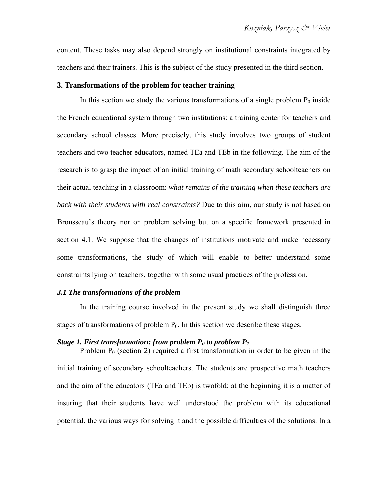content. These tasks may also depend strongly on institutional constraints integrated by teachers and their trainers. This is the subject of the study presented in the third section.

#### **3. Transformations of the problem for teacher training**

In this section we study the various transformations of a single problem  $P_0$  inside the French educational system through two institutions: a training center for teachers and secondary school classes. More precisely, this study involves two groups of student teachers and two teacher educators, named TEa and TEb in the following. The aim of the research is to grasp the impact of an initial training of math secondary schoolteachers on their actual teaching in a classroom: *what remains of the training when these teachers are back with their students with real constraints?* Due to this aim, our study is not based on Brousseau's theory nor on problem solving but on a specific framework presented in section 4.1. We suppose that the changes of institutions motivate and make necessary some transformations, the study of which will enable to better understand some constraints lying on teachers, together with some usual practices of the profession.

### *3.1 The transformations of the problem*

In the training course involved in the present study we shall distinguish three stages of transformations of problem  $P_0$ . In this section we describe these stages.

#### *Stage 1. First transformation: from problem*  $P_0$  *to problem*  $P_1$

Problem  $P_0$  (section 2) required a first transformation in order to be given in the initial training of secondary schoolteachers. The students are prospective math teachers and the aim of the educators (TEa and TEb) is twofold: at the beginning it is a matter of insuring that their students have well understood the problem with its educational potential, the various ways for solving it and the possible difficulties of the solutions. In a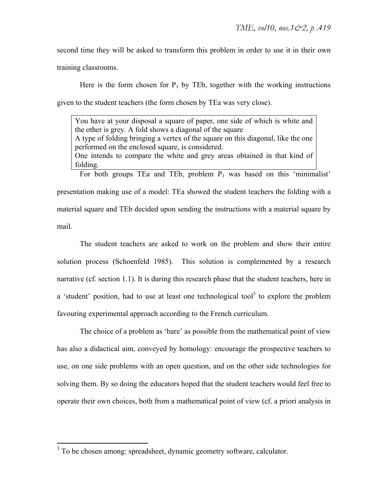second time they will be asked to transform this problem in order to use it in their own training classrooms.

Here is the form chosen for  $P_1$  by TEb, together with the working instructions given to the student teachers (the form chosen by TEa was very close).

You have at your disposal a square of paper, one side of which is white and the other is grey. A fold shows a diagonal of the square A type of folding bringing a vertex of the square on this diagonal, like the one performed on the enclosed square, is considered. One intends to compare the white and grey areas obtained in that kind of folding.

For both groups TEa and TEb, problem  $P_1$  was based on this 'minimalist' presentation making use of a model: TEa showed the student teachers the folding with a material square and TEb decided upon sending the instructions with a material square by mail.

The student teachers are asked to work on the problem and show their entire solution process (Schoenfeld 1985). This solution is complemented by a research narrative (cf. section 1.1). It is during this research phase that the student teachers, here in a 'student' position, had to use at least one technological tool<sup>3</sup> to explore the problem favouring experimental approach according to the French curriculum.

The choice of a problem as 'bare' as possible from the mathematical point of view has also a didactical aim, conveyed by homology: encourage the prospective teachers to use, on one side problems with an open question, and on the other side technologies for solving them. By so doing the educators hoped that the student teachers would feel free to operate their own choices, both from a mathematical point of view (cf. a priori analysis in

 $\overline{a}$ 

 $3$  To be chosen among: spreadsheet, dynamic geometry software, calculator.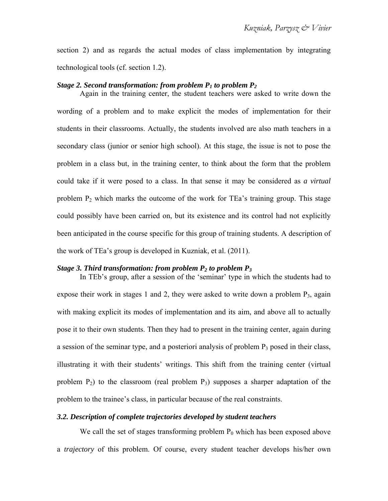section 2) and as regards the actual modes of class implementation by integrating technological tools (cf. section 1.2).

#### *Stage 2. Second transformation: from problem*  $P_1$  *to problem*  $P_2$

Again in the training center, the student teachers were asked to write down the wording of a problem and to make explicit the modes of implementation for their students in their classrooms. Actually, the students involved are also math teachers in a secondary class (junior or senior high school). At this stage, the issue is not to pose the problem in a class but, in the training center, to think about the form that the problem could take if it were posed to a class. In that sense it may be considered as *a virtual* problem  $P_2$  which marks the outcome of the work for TEa's training group. This stage could possibly have been carried on, but its existence and its control had not explicitly been anticipated in the course specific for this group of training students. A description of the work of TEa's group is developed in Kuzniak, et al. (2011).

## *Stage 3. Third transformation: from problem*  $P_2$  *to problem*  $P_3$

In TEb's group, after a session of the 'seminar' type in which the students had to expose their work in stages 1 and 2, they were asked to write down a problem  $P_3$ , again with making explicit its modes of implementation and its aim, and above all to actually pose it to their own students. Then they had to present in the training center, again during a session of the seminar type, and a posteriori analysis of problem  $P_3$  posed in their class, illustrating it with their students' writings. This shift from the training center (virtual problem  $P_2$ ) to the classroom (real problem  $P_3$ ) supposes a sharper adaptation of the problem to the trainee's class, in particular because of the real constraints.

#### *3.2. Description of complete trajectories developed by student teachers*

We call the set of stages transforming problem  $P_0$  which has been exposed above a *trajectory* of this problem. Of course, every student teacher develops his/her own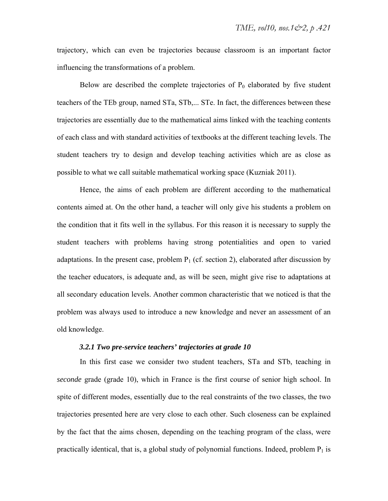trajectory, which can even be trajectories because classroom is an important factor influencing the transformations of a problem.

Below are described the complete trajectories of  $P_0$  elaborated by five student teachers of the TEb group, named STa, STb,... STe. In fact, the differences between these trajectories are essentially due to the mathematical aims linked with the teaching contents of each class and with standard activities of textbooks at the different teaching levels. The student teachers try to design and develop teaching activities which are as close as possible to what we call suitable mathematical working space (Kuzniak 2011).

Hence, the aims of each problem are different according to the mathematical contents aimed at. On the other hand, a teacher will only give his students a problem on the condition that it fits well in the syllabus. For this reason it is necessary to supply the student teachers with problems having strong potentialities and open to varied adaptations. In the present case, problem  $P_1$  (cf. section 2), elaborated after discussion by the teacher educators, is adequate and, as will be seen, might give rise to adaptations at all secondary education levels. Another common characteristic that we noticed is that the problem was always used to introduce a new knowledge and never an assessment of an old knowledge.

#### *3.2.1 Two pre-service teachers' trajectories at grade 10*

In this first case we consider two student teachers, STa and STb, teaching in *seconde* grade (grade 10), which in France is the first course of senior high school. In spite of different modes, essentially due to the real constraints of the two classes, the two trajectories presented here are very close to each other. Such closeness can be explained by the fact that the aims chosen, depending on the teaching program of the class, were practically identical, that is, a global study of polynomial functions. Indeed, problem  $P_1$  is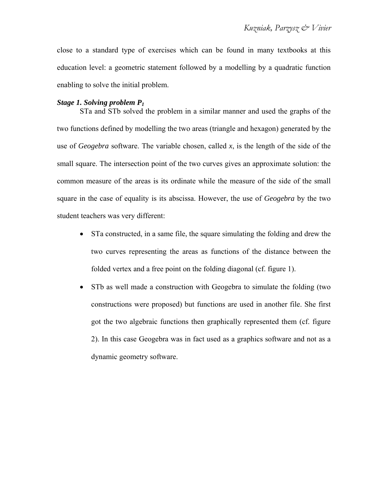close to a standard type of exercises which can be found in many textbooks at this education level: a geometric statement followed by a modelling by a quadratic function enabling to solve the initial problem.

## *Stage 1. Solving problem P1*

STa and STb solved the problem in a similar manner and used the graphs of the two functions defined by modelling the two areas (triangle and hexagon) generated by the use of *Geogebra* software. The variable chosen, called *x*, is the length of the side of the small square. The intersection point of the two curves gives an approximate solution: the common measure of the areas is its ordinate while the measure of the side of the small square in the case of equality is its abscissa. However, the use of *Geogebra* by the two student teachers was very different:

- STa constructed, in a same file, the square simulating the folding and drew the two curves representing the areas as functions of the distance between the folded vertex and a free point on the folding diagonal (cf. figure 1).
- STb as well made a construction with Geogebra to simulate the folding (two constructions were proposed) but functions are used in another file. She first got the two algebraic functions then graphically represented them (cf. figure 2). In this case Geogebra was in fact used as a graphics software and not as a dynamic geometry software.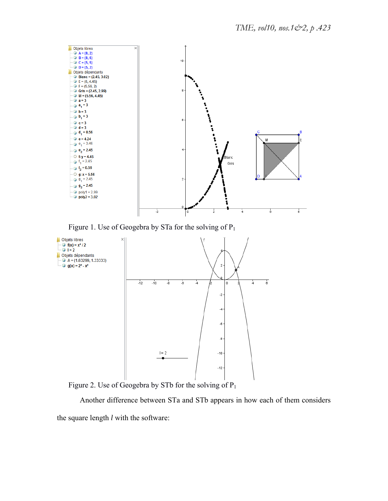

Figure 1. Use of Geogebra by STa for the solving of  $P_1$ 



Figure 2. Use of Geogebra by STb for the solving of  $P_1$ 

Another difference between STa and STb appears in how each of them considers the square length *l* with the software: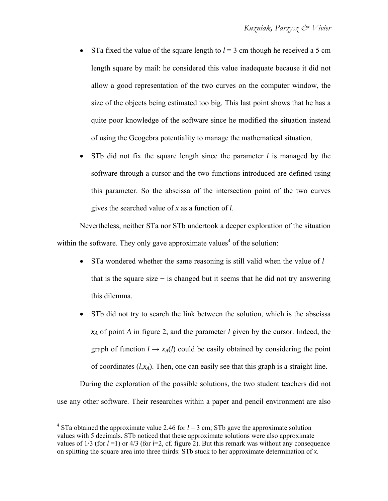- STa fixed the value of the square length to  $l = 3$  cm though he received a 5 cm length square by mail: he considered this value inadequate because it did not allow a good representation of the two curves on the computer window, the size of the objects being estimated too big. This last point shows that he has a quite poor knowledge of the software since he modified the situation instead of using the Geogebra potentiality to manage the mathematical situation.
- STb did not fix the square length since the parameter *l* is managed by the software through a cursor and the two functions introduced are defined using this parameter. So the abscissa of the intersection point of the two curves gives the searched value of *x* as a function of *l*.

Nevertheless, neither STa nor STb undertook a deeper exploration of the situation within the software. They only gave approximate values<sup>4</sup> of the solution:

- STa wondered whether the same reasoning is still valid when the value of *l* − that is the square size  $-$  is changed but it seems that he did not try answering this dilemma.
- STb did not try to search the link between the solution, which is the abscissa *xA* of point *A* in figure 2, and the parameter *l* given by the cursor. Indeed, the graph of function  $l \rightarrow x_A(l)$  could be easily obtained by considering the point of coordinates  $(l, x_A)$ . Then, one can easily see that this graph is a straight line.

During the exploration of the possible solutions, the two student teachers did not use any other software. Their researches within a paper and pencil environment are also

<u>.</u>

<sup>&</sup>lt;sup>4</sup> STa obtained the approximate value 2.46 for  $l = 3$  cm; STb gave the approximate solution values with 5 decimals. STb noticed that these approximate solutions were also approximate values of  $1/3$  (for  $l = 1$ ) or  $4/3$  (for  $l = 2$ , cf. figure 2). But this remark was without any consequence on splitting the square area into three thirds: STb stuck to her approximate determination of *x*.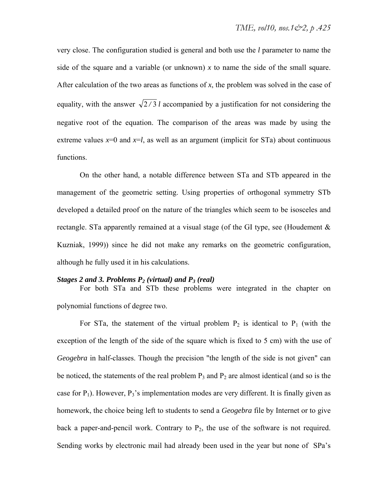very close. The configuration studied is general and both use the *l* parameter to name the side of the square and a variable (or unknown)  $x$  to name the side of the small square. After calculation of the two areas as functions of *x*, the problem was solved in the case of equality, with the answer  $\sqrt{2/3} l$  accompanied by a justification for not considering the negative root of the equation. The comparison of the areas was made by using the extreme values  $x=0$  and  $x=l$ , as well as an argument (implicit for STa) about continuous functions.

On the other hand, a notable difference between STa and STb appeared in the management of the geometric setting. Using properties of orthogonal symmetry STb developed a detailed proof on the nature of the triangles which seem to be isosceles and rectangle. STa apparently remained at a visual stage (of the GI type, see (Houdement  $\&$ Kuzniak, 1999)) since he did not make any remarks on the geometric configuration, although he fully used it in his calculations.

#### *Stages 2 and 3. Problems P2 (virtual) and P3 (real)*

For both STa and STb these problems were integrated in the chapter on polynomial functions of degree two.

For STa, the statement of the virtual problem  $P_2$  is identical to  $P_1$  (with the exception of the length of the side of the square which is fixed to 5 cm) with the use of *Geogebra* in half-classes. Though the precision "the length of the side is not given" can be noticed, the statements of the real problem  $P_3$  and  $P_2$  are almost identical (and so is the case for  $P_1$ ). However,  $P_3$ 's implementation modes are very different. It is finally given as homework, the choice being left to students to send a *Geogebra* file by Internet or to give back a paper-and-pencil work. Contrary to  $P_2$ , the use of the software is not required. Sending works by electronic mail had already been used in the year but none of SPa's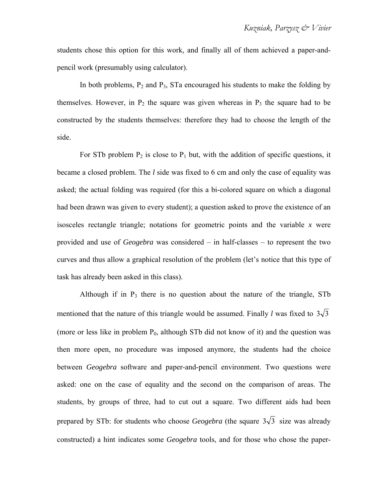students chose this option for this work, and finally all of them achieved a paper-andpencil work (presumably using calculator).

In both problems,  $P_2$  and  $P_3$ , STa encouraged his students to make the folding by themselves. However, in  $P_2$  the square was given whereas in  $P_3$  the square had to be constructed by the students themselves: therefore they had to choose the length of the side.

For STb problem  $P_2$  is close to  $P_1$  but, with the addition of specific questions, it became a closed problem. The *l* side was fixed to 6 cm and only the case of equality was asked; the actual folding was required (for this a bi-colored square on which a diagonal had been drawn was given to every student); a question asked to prove the existence of an isosceles rectangle triangle; notations for geometric points and the variable *x* were provided and use of *Geogebra* was considered – in half-classes – to represent the two curves and thus allow a graphical resolution of the problem (let's notice that this type of task has already been asked in this class).

Although if in  $P_3$  there is no question about the nature of the triangle, STb mentioned that the nature of this triangle would be assumed. Finally *l* was fixed to  $3\sqrt{3}$ (more or less like in problem  $P_0$ , although STb did not know of it) and the question was then more open, no procedure was imposed anymore, the students had the choice between *Geogebra* software and paper-and-pencil environment. Two questions were asked: one on the case of equality and the second on the comparison of areas. The students, by groups of three, had to cut out a square. Two different aids had been prepared by STb: for students who choose *Geogebra* (the square  $3\sqrt{3}$  size was already constructed) a hint indicates some *Geogebra* tools, and for those who chose the paper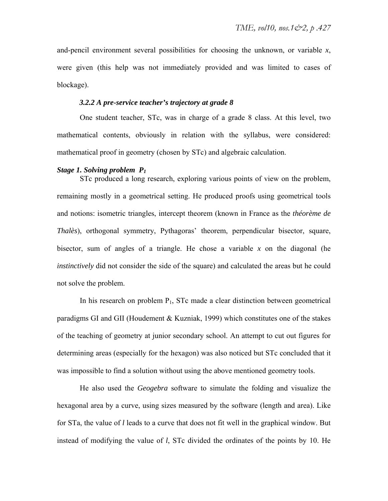and-pencil environment several possibilities for choosing the unknown, or variable *x*, were given (this help was not immediately provided and was limited to cases of blockage).

## *3.2.2 A pre-service teacher's trajectory at grade 8*

One student teacher, STc, was in charge of a grade 8 class. At this level, two mathematical contents, obviously in relation with the syllabus, were considered: mathematical proof in geometry (chosen by STc) and algebraic calculation.

#### *Stage 1. Solving problem P1*

STc produced a long research, exploring various points of view on the problem, remaining mostly in a geometrical setting. He produced proofs using geometrical tools and notions: isometric triangles, intercept theorem (known in France as the *théorème de Thalès*), orthogonal symmetry, Pythagoras' theorem, perpendicular bisector, square, bisector, sum of angles of a triangle. He chose a variable  $x$  on the diagonal (he *instinctively* did not consider the side of the square) and calculated the areas but he could not solve the problem.

In his research on problem  $P_1$ , STc made a clear distinction between geometrical paradigms GI and GII (Houdement & Kuzniak, 1999) which constitutes one of the stakes of the teaching of geometry at junior secondary school. An attempt to cut out figures for determining areas (especially for the hexagon) was also noticed but STc concluded that it was impossible to find a solution without using the above mentioned geometry tools.

He also used the *Geogebra* software to simulate the folding and visualize the hexagonal area by a curve, using sizes measured by the software (length and area). Like for STa, the value of *l* leads to a curve that does not fit well in the graphical window. But instead of modifying the value of *l*, STc divided the ordinates of the points by 10. He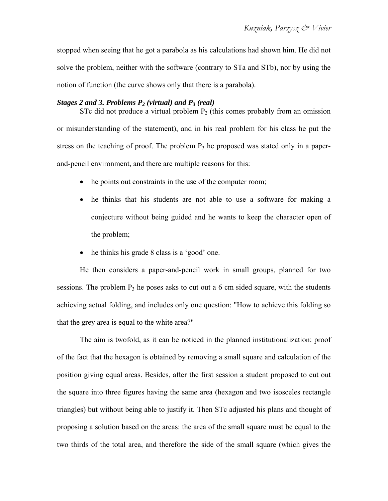stopped when seeing that he got a parabola as his calculations had shown him. He did not solve the problem, neither with the software (contrary to STa and STb), nor by using the notion of function (the curve shows only that there is a parabola).

## *Stages 2 and 3. Problems P2 (virtual) and P3 (real)*

STc did not produce a virtual problem  $P_2$  (this comes probably from an omission or misunderstanding of the statement), and in his real problem for his class he put the stress on the teaching of proof. The problem  $P_3$  he proposed was stated only in a paperand-pencil environment, and there are multiple reasons for this:

- he points out constraints in the use of the computer room;
- he thinks that his students are not able to use a software for making a conjecture without being guided and he wants to keep the character open of the problem;
- he thinks his grade 8 class is a 'good' one.

He then considers a paper-and-pencil work in small groups, planned for two sessions. The problem  $P_3$  he poses asks to cut out a 6 cm sided square, with the students achieving actual folding, and includes only one question: "How to achieve this folding so that the grey area is equal to the white area?"

The aim is twofold, as it can be noticed in the planned institutionalization: proof of the fact that the hexagon is obtained by removing a small square and calculation of the position giving equal areas. Besides, after the first session a student proposed to cut out the square into three figures having the same area (hexagon and two isosceles rectangle triangles) but without being able to justify it. Then STc adjusted his plans and thought of proposing a solution based on the areas: the area of the small square must be equal to the two thirds of the total area, and therefore the side of the small square (which gives the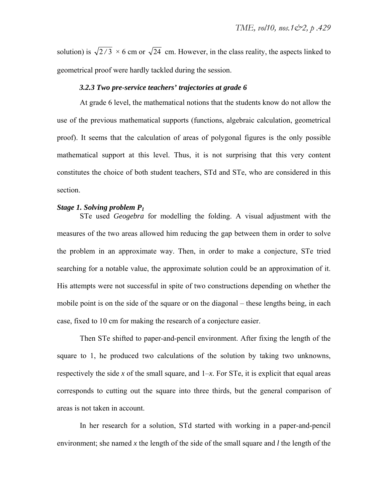solution) is  $\sqrt{2}/3 \times 6$  cm or  $\sqrt{24}$  cm. However, in the class reality, the aspects linked to geometrical proof were hardly tackled during the session.

## *3.2.3 Two pre-service teachers' trajectories at grade 6*

At grade 6 level, the mathematical notions that the students know do not allow the use of the previous mathematical supports (functions, algebraic calculation, geometrical proof). It seems that the calculation of areas of polygonal figures is the only possible mathematical support at this level. Thus, it is not surprising that this very content constitutes the choice of both student teachers, STd and STe, who are considered in this section.

#### *Stage 1. Solving problem P1*

STe used *Geogebra* for modelling the folding. A visual adjustment with the measures of the two areas allowed him reducing the gap between them in order to solve the problem in an approximate way. Then, in order to make a conjecture, STe tried searching for a notable value, the approximate solution could be an approximation of it. His attempts were not successful in spite of two constructions depending on whether the mobile point is on the side of the square or on the diagonal – these lengths being, in each case, fixed to 10 cm for making the research of a conjecture easier.

Then STe shifted to paper-and-pencil environment. After fixing the length of the square to 1, he produced two calculations of the solution by taking two unknowns, respectively the side x of the small square, and  $1-x$ . For STe, it is explicit that equal areas corresponds to cutting out the square into three thirds, but the general comparison of areas is not taken in account.

In her research for a solution, STd started with working in a paper-and-pencil environment; she named *x* the length of the side of the small square and *l* the length of the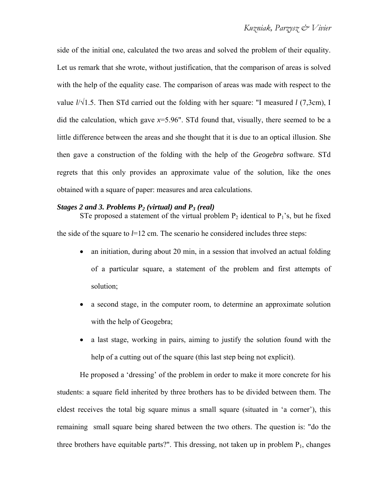side of the initial one, calculated the two areas and solved the problem of their equality. Let us remark that she wrote, without justification, that the comparison of areas is solved with the help of the equality case. The comparison of areas was made with respect to the value *l*/√1.5. Then STd carried out the folding with her square: "I measured *l* (7,3cm), I did the calculation, which gave  $x=5.96$ ". STd found that, visually, there seemed to be a little difference between the areas and she thought that it is due to an optical illusion. She then gave a construction of the folding with the help of the *Geogebra* software. STd regrets that this only provides an approximate value of the solution, like the ones obtained with a square of paper: measures and area calculations.

#### *Stages 2 and 3. Problems P2 (virtual) and P3 (real)*

STe proposed a statement of the virtual problem  $P_2$  identical to  $P_1$ 's, but he fixed the side of the square to  $l=12$  cm. The scenario he considered includes three steps:

- an initiation, during about 20 min, in a session that involved an actual folding of a particular square, a statement of the problem and first attempts of solution;
- a second stage, in the computer room, to determine an approximate solution with the help of Geogebra;
- a last stage, working in pairs, aiming to justify the solution found with the help of a cutting out of the square (this last step being not explicit).

He proposed a 'dressing' of the problem in order to make it more concrete for his students: a square field inherited by three brothers has to be divided between them. The eldest receives the total big square minus a small square (situated in 'a corner'), this remaining small square being shared between the two others. The question is: "do the three brothers have equitable parts?". This dressing, not taken up in problem  $P_1$ , changes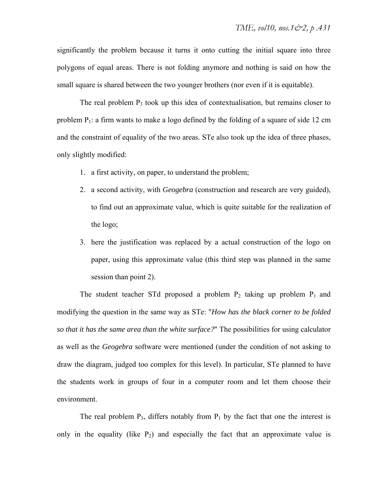significantly the problem because it turns it onto cutting the initial square into three polygons of equal areas. There is not folding anymore and nothing is said on how the small square is shared between the two younger brothers (nor even if it is equitable).

The real problem  $P_3$  took up this idea of contextualisation, but remains closer to problem  $P_1$ : a firm wants to make a logo defined by the folding of a square of side 12 cm and the constraint of equality of the two areas. STe also took up the idea of three phases, only slightly modified:

- 1. a first activity, on paper, to understand the problem;
- 2. a second activity, with *Geogebra* (construction and research are very guided), to find out an approximate value, which is quite suitable for the realization of the logo;
- 3. here the justification was replaced by a actual construction of the logo on paper, using this approximate value (this third step was planned in the same session than point 2).

The student teacher STd proposed a problem  $P_2$  taking up problem  $P_1$  and modifying the question in the same way as STe: "*How has the black corner to be folded so that it has the same area than the white surface?*" The possibilities for using calculator as well as the *Geogebra* software were mentioned (under the condition of not asking to draw the diagram, judged too complex for this level). In particular, STe planned to have the students work in groups of four in a computer room and let them choose their environment.

The real problem  $P_3$ , differs notably from  $P_1$  by the fact that one the interest is only in the equality (like  $P_2$ ) and especially the fact that an approximate value is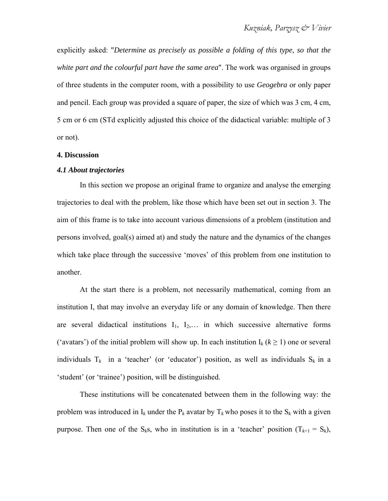explicitly asked: "*Determine as precisely as possible a folding of this type, so that the white part and the colourful part have the same area*". The work was organised in groups of three students in the computer room, with a possibility to use *Geogebra* or only paper and pencil. Each group was provided a square of paper, the size of which was 3 cm, 4 cm, 5 cm or 6 cm (STd explicitly adjusted this choice of the didactical variable: multiple of 3 or not).

#### **4. Discussion**

#### *4.1 About trajectories*

In this section we propose an original frame to organize and analyse the emerging trajectories to deal with the problem, like those which have been set out in section 3. The aim of this frame is to take into account various dimensions of a problem (institution and persons involved, goal(s) aimed at) and study the nature and the dynamics of the changes which take place through the successive 'moves' of this problem from one institution to another.

At the start there is a problem, not necessarily mathematical, coming from an institution I, that may involve an everyday life or any domain of knowledge. Then there are several didactical institutions  $I_1$ ,  $I_2$ ,... in which successive alternative forms ('avatars') of the initial problem will show up. In each institution  $I_k$  ( $k \ge 1$ ) one or several individuals  $T_k$  in a 'teacher' (or 'educator') position, as well as individuals  $S_k$  in a 'student' (or 'trainee') position, will be distinguished.

These institutions will be concatenated between them in the following way: the problem was introduced in  $I_k$  under the  $P_k$  avatar by  $T_k$  who poses it to the  $S_k$  with a given purpose. Then one of the  $S_k s$ , who in institution is in a 'teacher' position  $(T_{k+1} = S_k)$ ,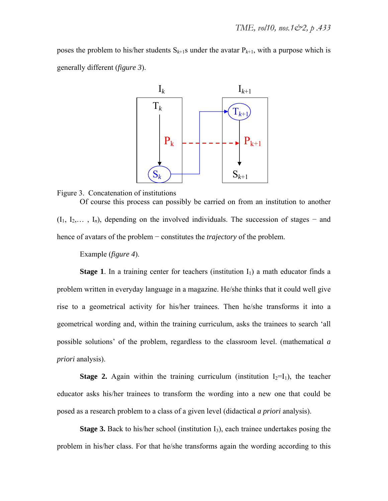poses the problem to his/her students  $S_{k+1}$ s under the avatar  $P_{k+1}$ , with a purpose which is generally different (*figure 3*).





Of course this process can possibly be carried on from an institution to another (I1, I2,… , I*n*), depending on the involved individuals. The succession of stages − and hence of avatars of the problem − constitutes the *trajectory* of the problem.

Example (*figure 4*).

**Stage 1**. In a training center for teachers (institution  $I_1$ ) a math educator finds a problem written in everyday language in a magazine. He/she thinks that it could well give rise to a geometrical activity for his/her trainees. Then he/she transforms it into a geometrical wording and, within the training curriculum, asks the trainees to search 'all possible solutions' of the problem, regardless to the classroom level. (mathematical *a priori* analysis).

**Stage 2.** Again within the training curriculum (institution  $I_2=I_1$ ), the teacher educator asks his/her trainees to transform the wording into a new one that could be posed as a research problem to a class of a given level (didactical *a priori* analysis).

**Stage 3.** Back to his/her school (institution  $I_3$ ), each trainee undertakes posing the problem in his/her class. For that he/she transforms again the wording according to this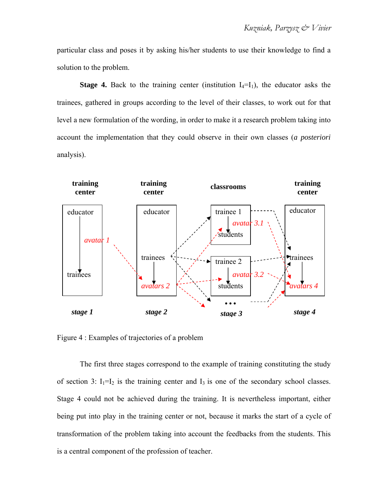particular class and poses it by asking his/her students to use their knowledge to find a solution to the problem.

**Stage 4.** Back to the training center (institution  $I_4=I_1$ ), the educator asks the trainees, gathered in groups according to the level of their classes, to work out for that level a new formulation of the wording, in order to make it a research problem taking into account the implementation that they could observe in their own classes (*a posteriori* analysis).



Figure 4 : Examples of trajectories of a problem

The first three stages correspond to the example of training constituting the study of section 3:  $I_1=I_2$  is the training center and  $I_3$  is one of the secondary school classes. Stage 4 could not be achieved during the training. It is nevertheless important, either being put into play in the training center or not, because it marks the start of a cycle of transformation of the problem taking into account the feedbacks from the students. This is a central component of the profession of teacher.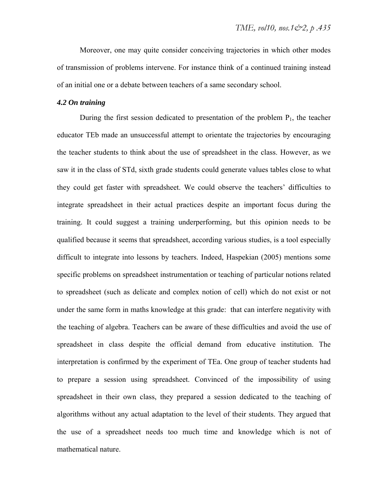Moreover, one may quite consider conceiving trajectories in which other modes of transmission of problems intervene. For instance think of a continued training instead of an initial one or a debate between teachers of a same secondary school.

## *4.2 On training*

During the first session dedicated to presentation of the problem  $P_1$ , the teacher educator TEb made an unsuccessful attempt to orientate the trajectories by encouraging the teacher students to think about the use of spreadsheet in the class. However, as we saw it in the class of STd, sixth grade students could generate values tables close to what they could get faster with spreadsheet. We could observe the teachers' difficulties to integrate spreadsheet in their actual practices despite an important focus during the training. It could suggest a training underperforming, but this opinion needs to be qualified because it seems that spreadsheet, according various studies, is a tool especially difficult to integrate into lessons by teachers. Indeed, Haspekian (2005) mentions some specific problems on spreadsheet instrumentation or teaching of particular notions related to spreadsheet (such as delicate and complex notion of cell) which do not exist or not under the same form in maths knowledge at this grade: that can interfere negativity with the teaching of algebra. Teachers can be aware of these difficulties and avoid the use of spreadsheet in class despite the official demand from educative institution. The interpretation is confirmed by the experiment of TEa. One group of teacher students had to prepare a session using spreadsheet. Convinced of the impossibility of using spreadsheet in their own class, they prepared a session dedicated to the teaching of algorithms without any actual adaptation to the level of their students. They argued that the use of a spreadsheet needs too much time and knowledge which is not of mathematical nature.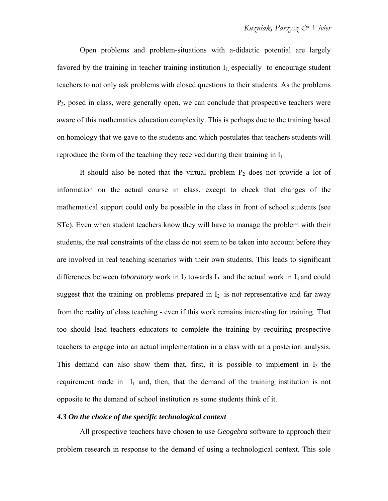Open problems and problem-situations with a-didactic potential are largely favored by the training in teacher training institution  $I_1$  especially to encourage student teachers to not only ask problems with closed questions to their students. As the problems  $P_3$ , posed in class, were generally open, we can conclude that prospective teachers were aware of this mathematics education complexity. This is perhaps due to the training based on homology that we gave to the students and which postulates that teachers students will reproduce the form of the teaching they received during their training in  $I_1$ .

It should also be noted that the virtual problem  $P_2$  does not provide a lot of information on the actual course in class, except to check that changes of the mathematical support could only be possible in the class in front of school students (see STc). Even when student teachers know they will have to manage the problem with their students, the real constraints of the class do not seem to be taken into account before they are involved in real teaching scenarios with their own students. This leads to significant differences between *laboratory* work in  $I_2$  towards  $I_3$  and the actual work in  $I_3$  and could suggest that the training on problems prepared in  $I_2$  is not representative and far away from the reality of class teaching - even if this work remains interesting for training. That too should lead teachers educators to complete the training by requiring prospective teachers to engage into an actual implementation in a class with an a posteriori analysis. This demand can also show them that, first, it is possible to implement in  $I_3$  the requirement made in  $I_1$  and, then, that the demand of the training institution is not opposite to the demand of school institution as some students think of it.

#### *4.3 On the choice of the specific technological context*

All prospective teachers have chosen to use *Geogebra* software to approach their problem research in response to the demand of using a technological context. This sole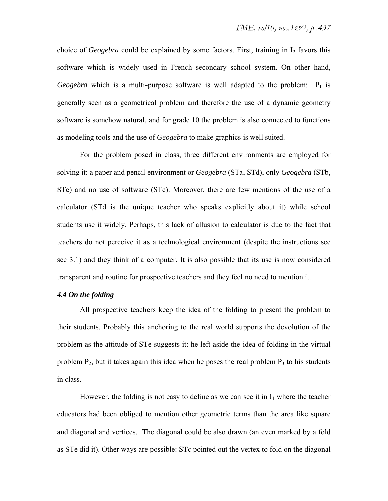choice of *Geogebra* could be explained by some factors. First, training in  $I_2$  favors this software which is widely used in French secondary school system. On other hand, *Geogebra* which is a multi-purpose software is well adapted to the problem:  $P_1$  is generally seen as a geometrical problem and therefore the use of a dynamic geometry software is somehow natural, and for grade 10 the problem is also connected to functions as modeling tools and the use of *Geogebra* to make graphics is well suited.

For the problem posed in class, three different environments are employed for solving it: a paper and pencil environment or *Geogebra* (STa, STd), only *Geogebra* (STb, STe) and no use of software (STc). Moreover, there are few mentions of the use of a calculator (STd is the unique teacher who speaks explicitly about it) while school students use it widely. Perhaps, this lack of allusion to calculator is due to the fact that teachers do not perceive it as a technological environment (despite the instructions see sec 3.1) and they think of a computer. It is also possible that its use is now considered transparent and routine for prospective teachers and they feel no need to mention it.

## *4.4 On the folding*

All prospective teachers keep the idea of the folding to present the problem to their students. Probably this anchoring to the real world supports the devolution of the problem as the attitude of STe suggests it: he left aside the idea of folding in the virtual problem  $P_2$ , but it takes again this idea when he poses the real problem  $P_3$  to his students in class.

However, the folding is not easy to define as we can see it in  $I_1$  where the teacher educators had been obliged to mention other geometric terms than the area like square and diagonal and vertices. The diagonal could be also drawn (an even marked by a fold as STe did it). Other ways are possible: STc pointed out the vertex to fold on the diagonal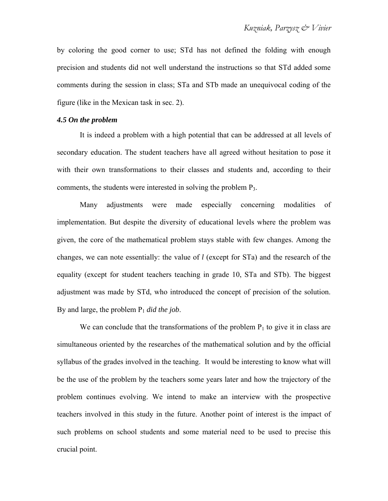by coloring the good corner to use; STd has not defined the folding with enough precision and students did not well understand the instructions so that STd added some comments during the session in class; STa and STb made an unequivocal coding of the figure (like in the Mexican task in sec. 2).

## *4.5 On the problem*

It is indeed a problem with a high potential that can be addressed at all levels of secondary education. The student teachers have all agreed without hesitation to pose it with their own transformations to their classes and students and, according to their comments, the students were interested in solving the problem P3.

Many adjustments were made especially concerning modalities of implementation. But despite the diversity of educational levels where the problem was given, the core of the mathematical problem stays stable with few changes. Among the changes, we can note essentially: the value of *l* (except for STa) and the research of the equality (except for student teachers teaching in grade 10, STa and STb). The biggest adjustment was made by STd, who introduced the concept of precision of the solution. By and large, the problem  $P_1$  *did the job*.

We can conclude that the transformations of the problem  $P_1$  to give it in class are simultaneous oriented by the researches of the mathematical solution and by the official syllabus of the grades involved in the teaching. It would be interesting to know what will be the use of the problem by the teachers some years later and how the trajectory of the problem continues evolving. We intend to make an interview with the prospective teachers involved in this study in the future. Another point of interest is the impact of such problems on school students and some material need to be used to precise this crucial point.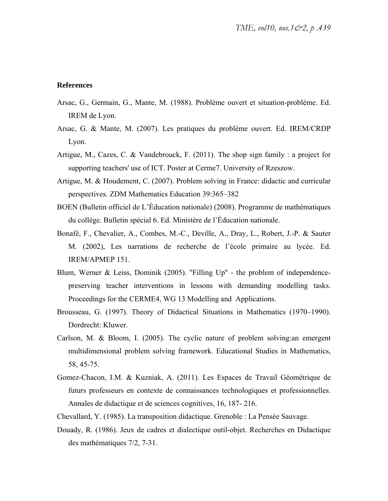### **References**

- Arsac, G., Germain, G., Mante, M. (1988). Problème ouvert et situation-problème. Ed. IREM de Lyon.
- Arsac, G. & Mante, M. (2007). Les pratiques du problème ouvert. Ed. IREM/CRDP Lyon.
- Artigue, M., Cazes, C. & Vandebrouck, F. (2011). The shop sign family : a project for supporting teachers' use of ICT. Poster at Cerme7. University of Rzeszow.
- Artigue, M. & Houdement, C. (2007). Problem solving in France: didactic and curricular perspectives. ZDM Mathematics Education 39:365–382
- BOEN (Bulletin officiel de L'Éducation nationale) (2008). Programme de mathématiques du collège. Bulletin spécial 6. Ed. Ministère de l'Éducation nationale.
- Bonafé, F., Chevalier, A., Combes, M.-C., Deville, A., Dray, L., Robert, J.-P. & Sauter M. (2002), Les narrations de recherche de l'école primaire au lycée. Ed. IREM/APMEP 151.
- Blum, Werner  $\&$  Leiss, Dominik (2005). "Filling Up" the problem of independencepreserving teacher interventions in lessons with demanding modelling tasks. Proceedings for the CERME4, WG 13 Modelling and Applications.
- Brousseau, G. (1997). Theory of Didactical Situations in Mathematics (1970–1990). Dordrecht: Kluwer.
- Carlson, M. & Bloom, I. (2005). The cyclic nature of problem solving:an emergent multidimensional problem solving framework. Educational Studies in Mathematics, 58, 45-75.
- Gomez-Chacon, I.M. & Kuzniak, A. (2011). Les Espaces de Travail Géométrique de futurs professeurs en contexte de connaissances technologiques et professionnelles. Annales de didactique et de sciences cognitives, 16, 187- 216.
- Chevallard, Y. (1985). La transposition didactique. Grenoble : La Pensée Sauvage.
- Douady, R. (1986). Jeux de cadres et dialectique outil-objet. Recherches en Didactique des mathématiques 7/2, 7-31.